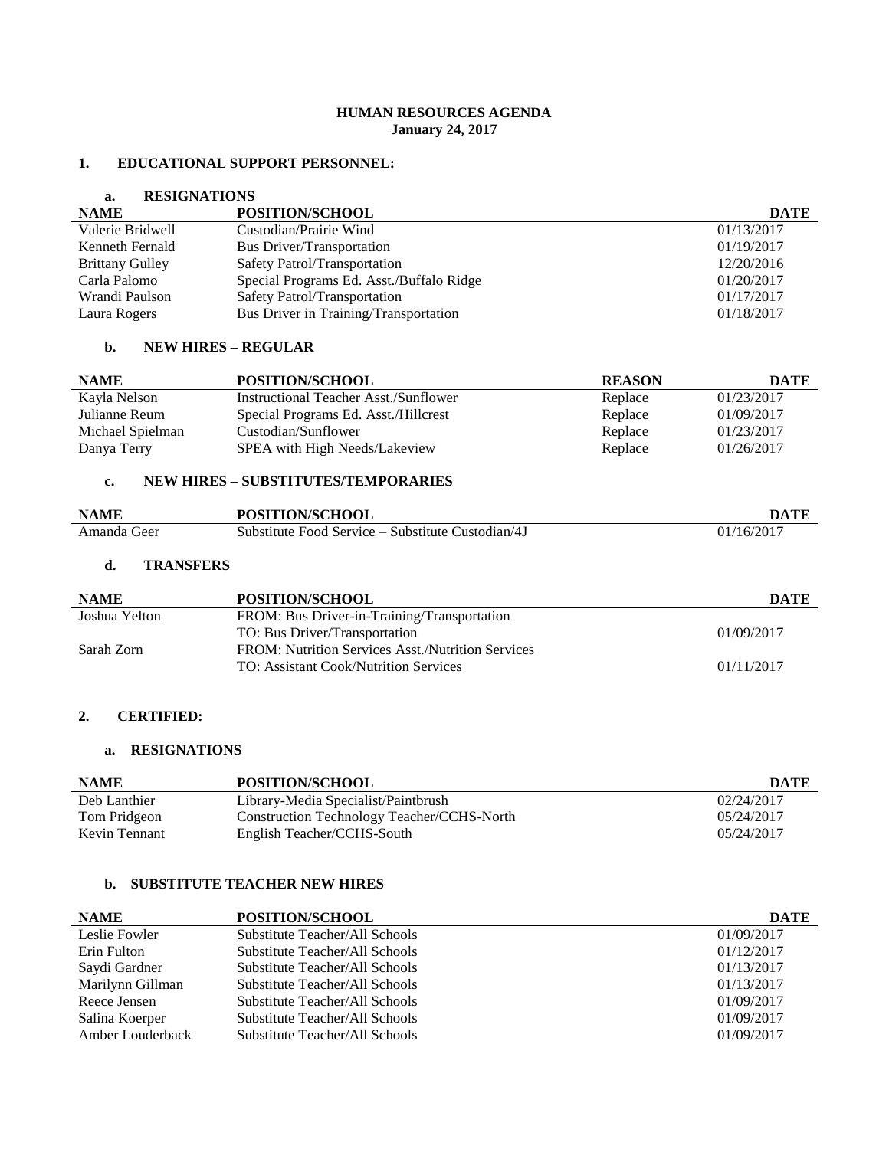## **HUMAN RESOURCES AGENDA January 24, 2017**

#### **1. EDUCATIONAL SUPPORT PERSONNEL:**

## **a. RESIGNATIONS**

| <b>NAME</b>            | POSITION/SCHOOL                          | <b>DATE</b> |
|------------------------|------------------------------------------|-------------|
| Valerie Bridwell       | Custodian/Prairie Wind                   | 01/13/2017  |
| Kenneth Fernald        | <b>Bus Driver/Transportation</b>         | 01/19/2017  |
| <b>Brittany Gulley</b> | Safety Patrol/Transportation             | 12/20/2016  |
| Carla Palomo           | Special Programs Ed. Asst./Buffalo Ridge | 01/20/2017  |
| Wrandi Paulson         | Safety Patrol/Transportation             | 01/17/2017  |
| Laura Rogers           | Bus Driver in Training/Transportation    | 01/18/2017  |

#### **b. NEW HIRES – REGULAR**

| <b>NAME</b>      | POSITION/SCHOOL                       | <b>REASON</b> | DATE       |
|------------------|---------------------------------------|---------------|------------|
| Kayla Nelson     | Instructional Teacher Asst./Sunflower | Replace       | 01/23/2017 |
| Julianne Reum    | Special Programs Ed. Asst./Hillcrest  | Replace       | 01/09/2017 |
| Michael Spielman | Custodian/Sunflower                   | Replace       | 01/23/2017 |
| Danya Terry      | SPEA with High Needs/Lakeview         | Replace       | 01/26/2017 |

# **c. NEW HIRES – SUBSTITUTES/TEMPORARIES**

| <b>NAME</b> | <b>POSITION/SCHOOL</b>                            | DATF                     |
|-------------|---------------------------------------------------|--------------------------|
| Amanda Geer | Substitute Food Service – Substitute Custodian/4J | $01/16/201$ <sup>-</sup> |

## **d. TRANSFERS**

| <b>NAME</b>   | POSITION/SCHOOL                                   | DATE       |
|---------------|---------------------------------------------------|------------|
| Joshua Yelton | FROM: Bus Driver-in-Training/Transportation       |            |
|               | TO: Bus Driver/Transportation                     | 01/09/2017 |
| Sarah Zorn    | FROM: Nutrition Services Asst./Nutrition Services |            |
|               | TO: Assistant Cook/Nutrition Services             | 01/11/2017 |

#### **2. CERTIFIED:**

#### **a. RESIGNATIONS**

| <b>NAME</b>   | POSITION/SCHOOL                            | <b>DATE</b> |
|---------------|--------------------------------------------|-------------|
| Deb Lanthier  | Library-Media Specialist/Paintbrush        | 02/24/2017  |
| Tom Pridgeon  | Construction Technology Teacher/CCHS-North | 05/24/2017  |
| Kevin Tennant | English Teacher/CCHS-South                 | 05/24/2017  |

#### **b. SUBSTITUTE TEACHER NEW HIRES**

| <b>NAME</b>      | POSITION/SCHOOL                | <b>DATE</b> |
|------------------|--------------------------------|-------------|
| Leslie Fowler    | Substitute Teacher/All Schools | 01/09/2017  |
| Erin Fulton      | Substitute Teacher/All Schools | 01/12/2017  |
| Saydi Gardner    | Substitute Teacher/All Schools | 01/13/2017  |
| Marilynn Gillman | Substitute Teacher/All Schools | 01/13/2017  |
| Reece Jensen     | Substitute Teacher/All Schools | 01/09/2017  |
| Salina Koerper   | Substitute Teacher/All Schools | 01/09/2017  |
| Amber Louderback | Substitute Teacher/All Schools | 01/09/2017  |